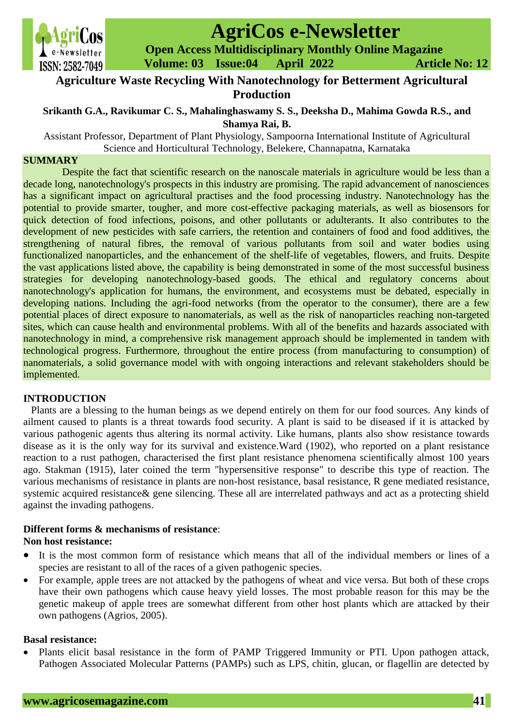

# **AgriCos e-Newsletter**

 **Open Access Multidisciplinary Monthly Online Magazine**

 **ISSN: 2582-7049 Volume: 03 Issue:04 April 2022 Article No: 12** 

# **Agriculture Waste Recycling With Nanotechnology for Betterment Agricultural Production**

## **Srikanth G.A., Ravikumar C. S., Mahalinghaswamy S. S., Deeksha D., Mahima Gowda R.S., and Shamya Rai, B.**

Assistant Professor, Department of Plant Physiology, Sampoorna International Institute of Agricultural Science and Horticultural Technology, Belekere, Channapatna, Karnataka

#### **SUMMARY**

Despite the fact that scientific research on the nanoscale materials in agriculture would be less than a decade long, nanotechnology's prospects in this industry are promising. The rapid advancement of nanosciences has a significant impact on agricultural practises and the food processing industry. Nanotechnology has the potential to provide smarter, tougher, and more cost-effective packaging materials, as well as biosensors for quick detection of food infections, poisons, and other pollutants or adulterants. It also contributes to the development of new pesticides with safe carriers, the retention and containers of food and food additives, the strengthening of natural fibres, the removal of various pollutants from soil and water bodies using functionalized nanoparticles, and the enhancement of the shelf-life of vegetables, flowers, and fruits. Despite the vast applications listed above, the capability is being demonstrated in some of the most successful business strategies for developing nanotechnology-based goods. The ethical and regulatory concerns about nanotechnology's application for humans, the environment, and ecosystems must be debated, especially in developing nations. Including the agri-food networks (from the operator to the consumer), there are a few potential places of direct exposure to nanomaterials, as well as the risk of nanoparticles reaching non-targeted sites, which can cause health and environmental problems. With all of the benefits and hazards associated with nanotechnology in mind, a comprehensive risk management approach should be implemented in tandem with technological progress. Furthermore, throughout the entire process (from manufacturing to consumption) of nanomaterials, a solid governance model with with ongoing interactions and relevant stakeholders should be implemented.

#### **INTRODUCTION**

Plants are a blessing to the human beings as we depend entirely on them for our food sources. Any kinds of ailment caused to plants is a threat towards food security. A plant is said to be diseased if it is attacked by various pathogenic agents thus altering its normal activity. Like humans, plants also show resistance towards disease as it is the only way for its survival and existence.Ward (1902), who reported on a plant resistance reaction to a rust pathogen, characterised the first plant resistance phenomena scientifically almost 100 years ago. Stakman (1915), later coined the term "hypersensitive response" to describe this type of reaction. The various mechanisms of resistance in plants are non-host resistance, basal resistance, R gene mediated resistance, systemic acquired resistance& gene silencing. These all are interrelated pathways and act as a protecting shield against the invading pathogens.

## **Different forms & mechanisms of resistance**:

#### **Non host resistance:**

- It is the most common form of resistance which means that all of the individual members or lines of a species are resistant to all of the races of a given pathogenic species.
- For example, apple trees are not attacked by the pathogens of wheat and vice versa. But both of these crops have their own pathogens which cause heavy yield losses. The most probable reason for this may be the genetic makeup of apple trees are somewhat different from other host plants which are attacked by their own pathogens (Agrios, 2005).

#### **Basal resistance:**

• Plants elicit basal resistance in the form of PAMP Triggered Immunity or PTI. Upon pathogen attack, Pathogen Associated Molecular Patterns (PAMPs) such as LPS, chitin, glucan, or flagellin are detected by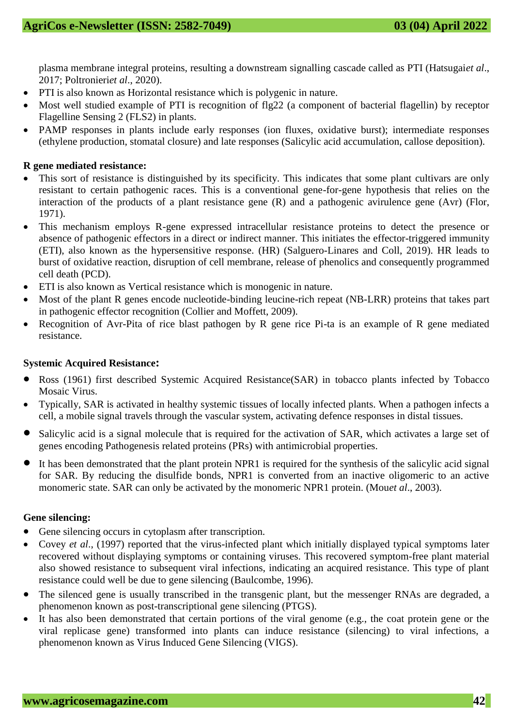plasma membrane integral proteins, resulting a downstream signalling cascade called as PTI (Hatsugai*et al*., 2017; Poltronieri*et al*., 2020).

- PTI is also known as Horizontal resistance which is polygenic in nature.
- Most well studied example of PTI is recognition of flg22 (a component of bacterial flagellin) by receptor Flagelline Sensing 2 (FLS2) in plants.
- PAMP responses in plants include early responses (ion fluxes, oxidative burst); intermediate responses (ethylene production, stomatal closure) and late responses (Salicylic acid accumulation, callose deposition).

### **R gene mediated resistance:**

- This sort of resistance is distinguished by its specificity. This indicates that some plant cultivars are only resistant to certain pathogenic races. This is a conventional gene-for-gene hypothesis that relies on the interaction of the products of a plant resistance gene (R) and a pathogenic avirulence gene (Avr) (Flor, 1971).
- This mechanism employs R-gene expressed intracellular resistance proteins to detect the presence or absence of pathogenic effectors in a direct or indirect manner. This initiates the effector-triggered immunity (ETI), also known as the hypersensitive response. (HR) (Salguero-Linares and Coll, 2019). HR leads to burst of oxidative reaction, disruption of cell membrane, release of phenolics and consequently programmed cell death (PCD).
- ETI is also known as Vertical resistance which is monogenic in nature.
- Most of the plant R genes encode nucleotide-binding leucine-rich repeat (NB-LRR) proteins that takes part in pathogenic effector recognition (Collier and Moffett, 2009).
- Recognition of Avr-Pita of rice blast pathogen by R gene rice Pi-ta is an example of R gene mediated resistance.

#### **Systemic Acquired Resistance:**

- Ross (1961) first described Systemic Acquired Resistance(SAR) in tobacco plants infected by Tobacco Mosaic Virus.
- Typically, SAR is activated in healthy systemic tissues of locally infected plants. When a pathogen infects a cell, a mobile signal travels through the vascular system, activating defence responses in distal tissues.
- Salicylic acid is a signal molecule that is required for the activation of SAR, which activates a large set of genes encoding Pathogenesis related proteins (PRs) with antimicrobial properties.
- It has been demonstrated that the plant protein NPR1 is required for the synthesis of the salicylic acid signal for SAR. By reducing the disulfide bonds, NPR1 is converted from an inactive oligomeric to an active monomeric state. SAR can only be activated by the monomeric NPR1 protein. (Mou*et al*., 2003).

#### **Gene silencing:**

- Gene silencing occurs in cytoplasm after transcription.
- Covey *et al*., (1997) reported that the virus-infected plant which initially displayed typical symptoms later recovered without displaying symptoms or containing viruses. This recovered symptom-free plant material also showed resistance to subsequent viral infections, indicating an acquired resistance. This type of plant resistance could well be due to gene silencing (Baulcombe, 1996).
- The silenced gene is usually transcribed in the transgenic plant, but the messenger RNAs are degraded, a phenomenon known as post-transcriptional gene silencing (PTGS).
- It has also been demonstrated that certain portions of the viral genome (e.g., the coat protein gene or the viral replicase gene) transformed into plants can induce resistance (silencing) to viral infections, a phenomenon known as Virus Induced Gene Silencing (VIGS).